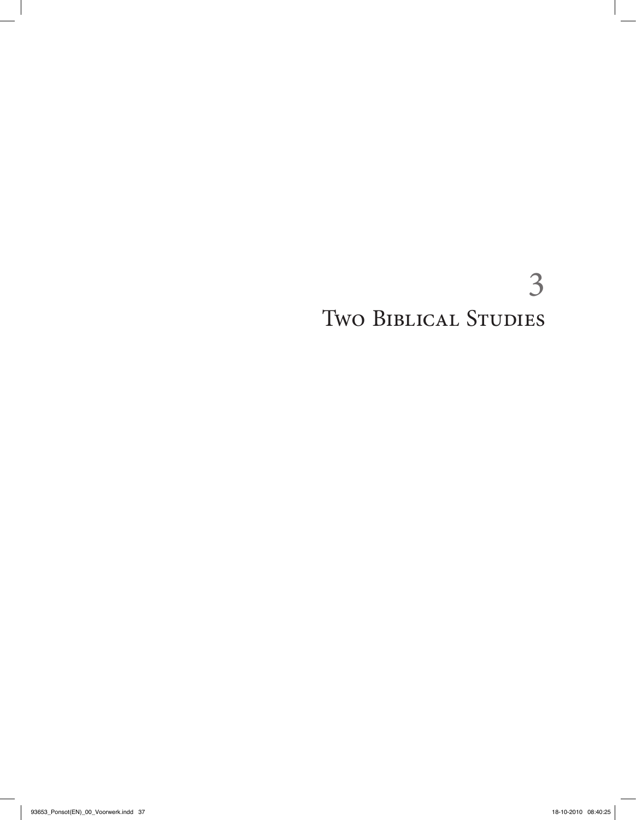# 3 Two BIBLICAL STUDIES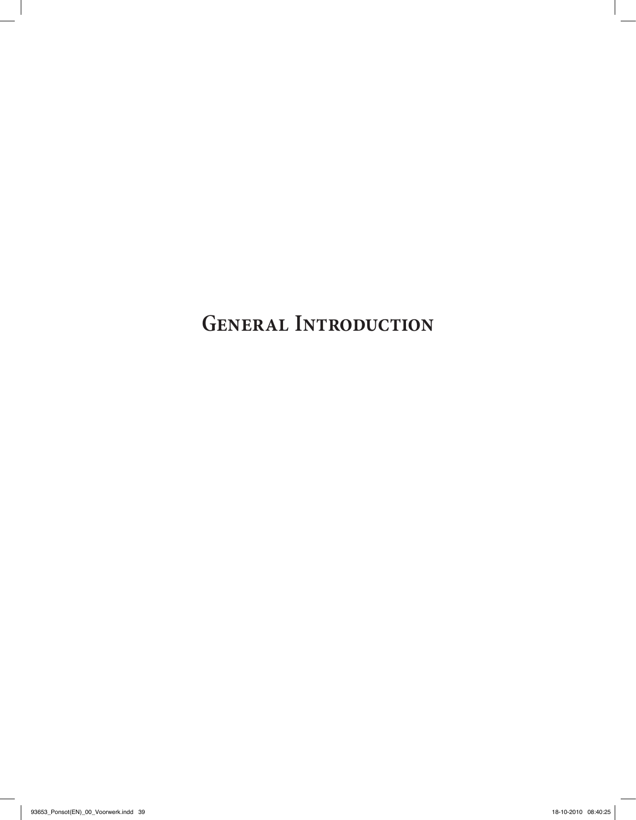**GENERAL INTRODUCTION**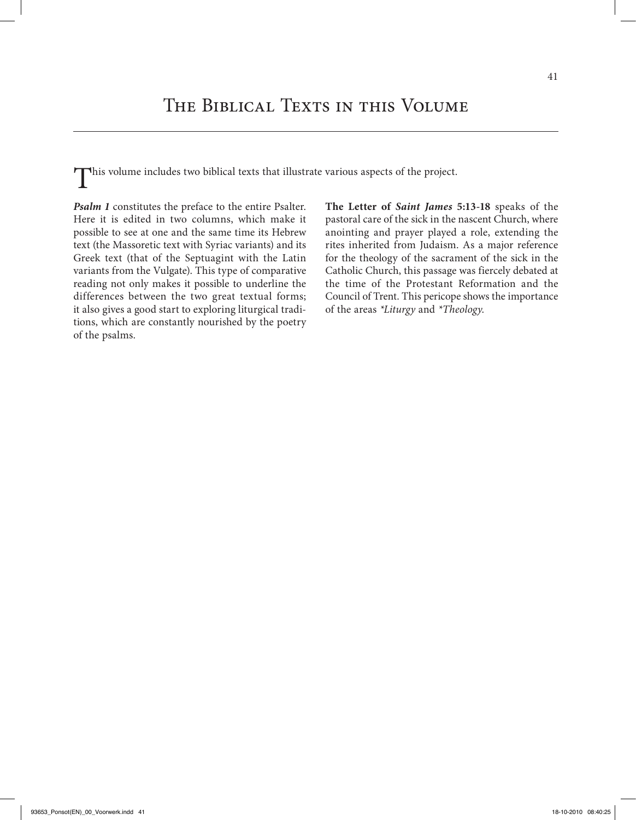This volume includes two biblical texts that illustrate various aspects of the project.

*Psalm 1* constitutes the preface to the entire Psalter. Here it is edited in two columns, which make it possible to see at one and the same time its Hebrew text (the Massoretic text with Syriac variants) and its Greek text (that of the Septuagint with the Latin variants from the Vulgate). This type of comparative reading not only makes it possible to underline the differences between the two great textual forms; it also gives a good start to exploring liturgical traditions, which are constantly nourished by the poetry of the psalms.

**The Letter of** *Saint James* **5:13-18** speaks of the pastoral care of the sick in the nascent Church, where anointing and prayer played a role, extending the rites inherited from Judaism. As a major reference for the theology of the sacrament of the sick in the Catholic Church, this passage was fiercely debated at the time of the Protestant Reformation and the Council of Trent. This pericope shows the importance of the areas *\*Liturgy* and *\*Theology*.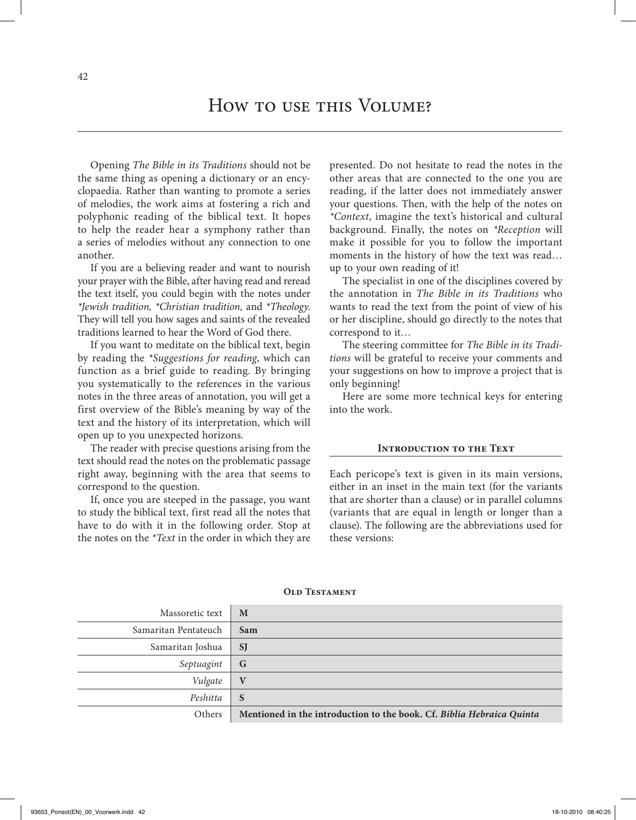Opening *The Bible in its Traditions* should not be the same thing as opening a dictionary or an encyclopaedia. Rather than wanting to promote a series of melodies, the work aims at fostering a rich and polyphonic reading of the biblical text. It hopes to help the reader hear a symphony rather than a series of melodies without any connection to one another.

If you are a believing reader and want to nourish your prayer with the Bible, after having read and reread the text itself, you could begin with the notes under *\*Jewish tradition, \*Christian tradition,* and *\*Theology*. They will tell you how sages and saints of the revealed traditions learned to hear the Word of God there.

If you want to meditate on the biblical text, begin by reading the *\*Suggestions for reading*, which can function as a brief guide to reading. By bringing you systematically to the references in the various notes in the three areas of annotation, you will get a first overview of the Bible's meaning by way of the text and the history of its interpretation, which will open up to you unexpected horizons.

The reader with precise questions arising from the text should read the notes on the problematic passage right away, beginning with the area that seems to correspond to the question.

If, once you are steeped in the passage, you want to study the biblical text, first read all the notes that have to do with it in the following order. Stop at the notes on the *\*Text* in the order in which they are

presented. Do not hesitate to read the notes in the other areas that are connected to the one you are reading, if the latter does not immediately answer your questions. Then, with the help of the notes on *\*Context*, imagine the text's historical and cultural background. Finally, the notes on *\*Reception* will make it possible for you to follow the important moments in the history of how the text was read… up to your own reading of it!

The specialist in one of the disciplines covered by the annotation in *The Bible in its Traditions* who wants to read the text from the point of view of his or her discipline, should go directly to the notes that correspond to it…

The steering committee for *The Bible in its Traditions* will be grateful to receive your comments and your suggestions on how to improve a project that is only beginning!

Here are some more technical keys for entering into the work.

#### **INTRODUCTION TO THE TEXT**

Each pericope's text is given in its main versions, either in an inset in the main text (for the variants that are shorter than a clause) or in parallel columns (variants that are equal in length or longer than a clause). The following are the abbreviations used for these versions:

| Massoretic text      | M                                                                     |
|----------------------|-----------------------------------------------------------------------|
| Samaritan Pentateuch | Sam                                                                   |
| Samaritan Joshua     | <b>SJ</b>                                                             |
| Septuagint           | G                                                                     |
| Vulgate              | $\mathbf{V}$                                                          |
| Peshitta             | S                                                                     |
| Others               | Mentioned in the introduction to the book. Cf. Biblia Hebraica Quinta |

#### **OLD TESTAMENT**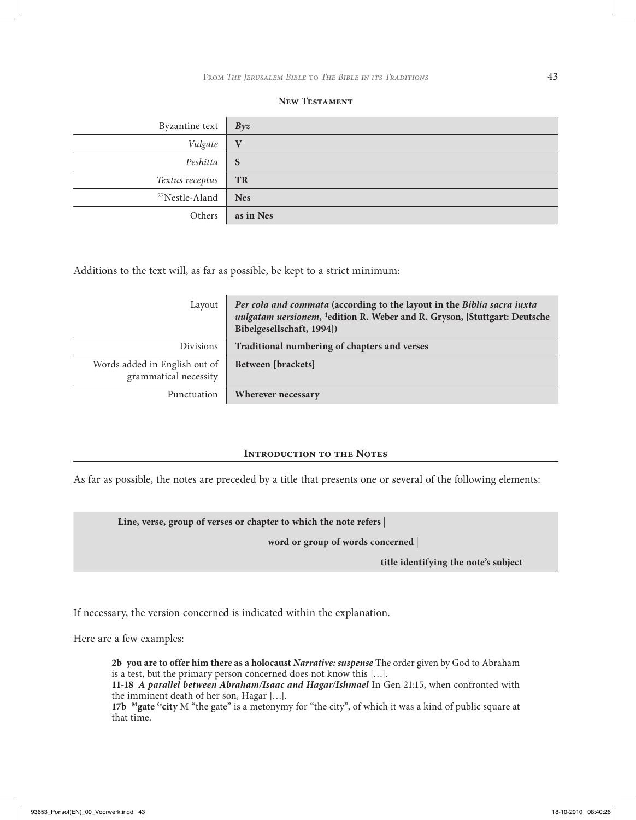| Byzantine text             | Byz          |
|----------------------------|--------------|
| Vulgate                    | V            |
| Peshitta                   | <sub>S</sub> |
| Textus receptus            | <b>TR</b>    |
| <sup>27</sup> Nestle-Aland | <b>Nes</b>   |
| Others                     | as in Nes    |

#### **New Testament**

Additions to the text will, as far as possible, be kept to a strict minimum:

| Layout                                                 | Per cola and commata (according to the layout in the Biblia sacra iuxta<br>uulgatam uersionem, <sup>4</sup> edition R. Weber and R. Gryson, [Stuttgart: Deutsche<br>Bibelgesellschaft, 1994]) |  |
|--------------------------------------------------------|-----------------------------------------------------------------------------------------------------------------------------------------------------------------------------------------------|--|
| <b>Divisions</b>                                       | Traditional numbering of chapters and verses                                                                                                                                                  |  |
| Words added in English out of<br>grammatical necessity | Between [brackets]                                                                                                                                                                            |  |
| Punctuation                                            | Wherever necessary                                                                                                                                                                            |  |

### **INTRODUCTION TO THE NOTES**

As far as possible, the notes are preceded by a title that presents one or several of the following elements:

**Line, verse, group of verses or chapter to which the note refers** |

**word or group of words concerned** |

**title identifying the note's subject**

If necessary, the version concerned is indicated within the explanation.

Here are a few examples:

**2b you are to offer him there as a holocaust** *Narrative: suspense* The order given by God to Abraham is a test, but the primary person concerned does not know this […].

**11-18** *A parallel between Abraham/Isaac and Hagar/Ishmael* In Gen 21:15, when confronted with the imminent death of her son, Hagar […].

**17b Mgate Gcity** M "the gate" is a metonymy for "the city", of which it was a kind of public square at that time.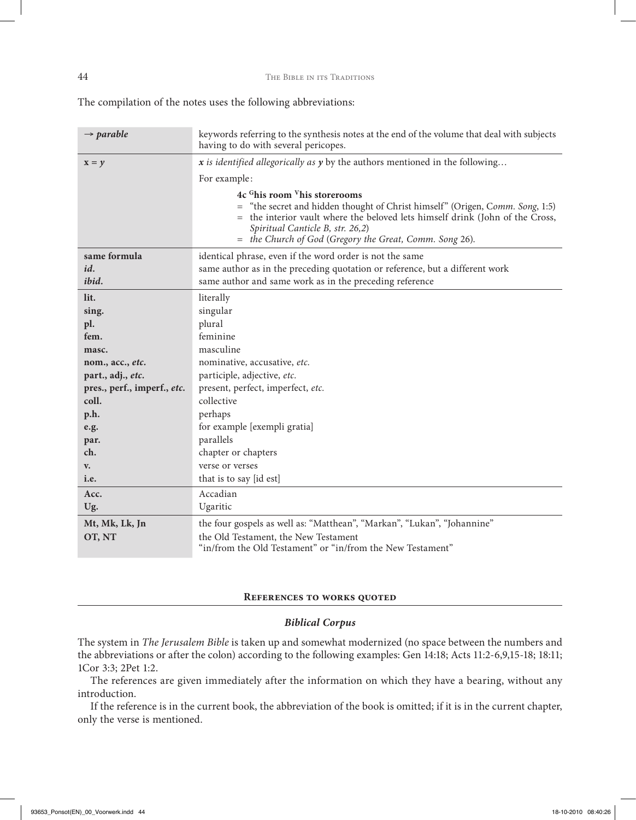The compilation of the notes uses the following abbreviations:

| $\rightarrow$ parable       | keywords referring to the synthesis notes at the end of the volume that deal with subjects<br>having to do with several pericopes.                                                                                                                                                                                  |  |  |
|-----------------------------|---------------------------------------------------------------------------------------------------------------------------------------------------------------------------------------------------------------------------------------------------------------------------------------------------------------------|--|--|
| $x = y$                     | $x$ is identified allegorically as $y$ by the authors mentioned in the following                                                                                                                                                                                                                                    |  |  |
|                             | For example:                                                                                                                                                                                                                                                                                                        |  |  |
|                             | 4c <sup>G</sup> his room <sup>V</sup> his storerooms<br>= "the secret and hidden thought of Christ himself" (Origen, Comm. Song, 1:5)<br>the interior vault where the beloved lets himself drink (John of the Cross,<br>Spiritual Canticle B, str. 26,2)<br>= the Church of God (Gregory the Great, Comm. Song 26). |  |  |
| same formula                | identical phrase, even if the word order is not the same                                                                                                                                                                                                                                                            |  |  |
| id.                         | same author as in the preceding quotation or reference, but a different work                                                                                                                                                                                                                                        |  |  |
| ibid.                       | same author and same work as in the preceding reference                                                                                                                                                                                                                                                             |  |  |
| lit.                        | literally                                                                                                                                                                                                                                                                                                           |  |  |
| sing.                       | singular                                                                                                                                                                                                                                                                                                            |  |  |
| pl.                         | plural                                                                                                                                                                                                                                                                                                              |  |  |
| fem.                        | feminine                                                                                                                                                                                                                                                                                                            |  |  |
| masc.                       | masculine                                                                                                                                                                                                                                                                                                           |  |  |
| nom., acc., etc.            | nominative, accusative, etc.                                                                                                                                                                                                                                                                                        |  |  |
| part., adj., etc.           | participle, adjective, etc.                                                                                                                                                                                                                                                                                         |  |  |
| pres., perf., imperf., etc. | present, perfect, imperfect, etc.                                                                                                                                                                                                                                                                                   |  |  |
| coll.                       | collective                                                                                                                                                                                                                                                                                                          |  |  |
| p.h.                        | perhaps                                                                                                                                                                                                                                                                                                             |  |  |
| e.g.                        | for example [exempli gratia]                                                                                                                                                                                                                                                                                        |  |  |
| par.                        | parallels                                                                                                                                                                                                                                                                                                           |  |  |
| ch.                         | chapter or chapters                                                                                                                                                                                                                                                                                                 |  |  |
| $V_{\bullet}$               | verse or verses                                                                                                                                                                                                                                                                                                     |  |  |
| i.e.                        | that is to say [id est]                                                                                                                                                                                                                                                                                             |  |  |
| Acc.                        | Accadian                                                                                                                                                                                                                                                                                                            |  |  |
| Ug.                         | Ugaritic                                                                                                                                                                                                                                                                                                            |  |  |
| Mt, Mk, Lk, Jn              | the four gospels as well as: "Matthean", "Markan", "Lukan", "Johannine"                                                                                                                                                                                                                                             |  |  |
| OT, NT                      | the Old Testament, the New Testament<br>"in/from the Old Testament" or "in/from the New Testament"                                                                                                                                                                                                                  |  |  |

### **References to works quoted**

#### *Biblical Corpus*

The system in *The Jerusalem Bible* is taken up and somewhat modernized (no space between the numbers and the abbreviations or after the colon) according to the following examples: Gen 14:18; Acts 11:2-6,9,15-18; 18:11; 1Cor 3:3; 2Pet 1:2.

The references are given immediately after the information on which they have a bearing, without any introduction.

If the reference is in the current book, the abbreviation of the book is omitted; if it is in the current chapter, only the verse is mentioned.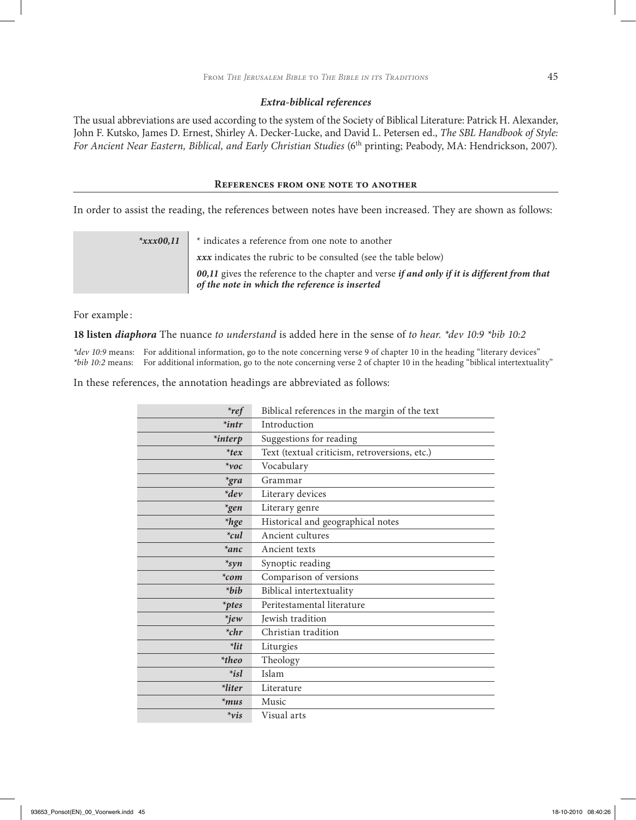#### *Extra-biblical references*

The usual abbreviations are used according to the system of the Society of Biblical Literature: Patrick H. Alexander, John F. Kutsko, James D. Ernest, Shirley A. Decker-Lucke, and David L. Petersen ed., *The SBL Handbook of Style: For Ancient Near Eastern, Biblical, and Early Christian Studies* (6th printing; Peabody, MA: Hendrickson, 2007).

#### **References from one note to another**

In order to assist the reading, the references between notes have been increased. They are shown as follows:

| $*xxxx00,11$ | * indicates a reference from one note to another                                                                                                     |  |
|--------------|------------------------------------------------------------------------------------------------------------------------------------------------------|--|
|              | xxx indicates the rubric to be consulted (see the table below)                                                                                       |  |
|              | 00,11 gives the reference to the chapter and verse <i>if and only if it is different from that</i><br>of the note in which the reference is inserted |  |

For example :

**18 listen** *diaphora* The nuance *to understand* is added here in the sense of *to hear. \*dev 10:9 \*bib 10:2*

*\*dev 10:9* means: For additional information, go to the note concerning verse 9 of chapter 10 in the heading "literary devices" *\*bib 10:2* means: For additional information, go to the note concerning verse 2 of chapter 10 in the heading "biblical intertextuality"

In these references, the annotation headings are abbreviated as follows:

| $*_{ref}$        | Biblical references in the margin of the text |  |
|------------------|-----------------------------------------------|--|
| $*$ intr         | Introduction                                  |  |
| <i>*interp</i>   | Suggestions for reading                       |  |
| $*$ tex          | Text (textual criticism, retroversions, etc.) |  |
| $*voc$           | Vocabulary                                    |  |
| $*$ gra          | Grammar                                       |  |
| $*dev$           | Literary devices                              |  |
| $*gen$           | Literary genre                                |  |
| <i>*hge</i>      | Historical and geographical notes             |  |
| $*_{\text{cul}}$ | Ancient cultures                              |  |
| $*anc$           | Ancient texts                                 |  |
| $*syn$           | Synoptic reading                              |  |
| $*_{com}$        | Comparison of versions                        |  |
| $*bib$           | Biblical intertextuality                      |  |
| <i>*ptes</i>     | Peritestamental literature                    |  |
| $*jew$           | Jewish tradition                              |  |
| $*_{chr}$        | Christian tradition                           |  |
| $*$ lit          | Liturgies                                     |  |
| $*$ theo         | Theology                                      |  |
| $*_{isl}$        | Islam                                         |  |
| *liter           | Literature                                    |  |
| $*$ mus          | Music                                         |  |
| $*_{vis}$        | Visual arts                                   |  |